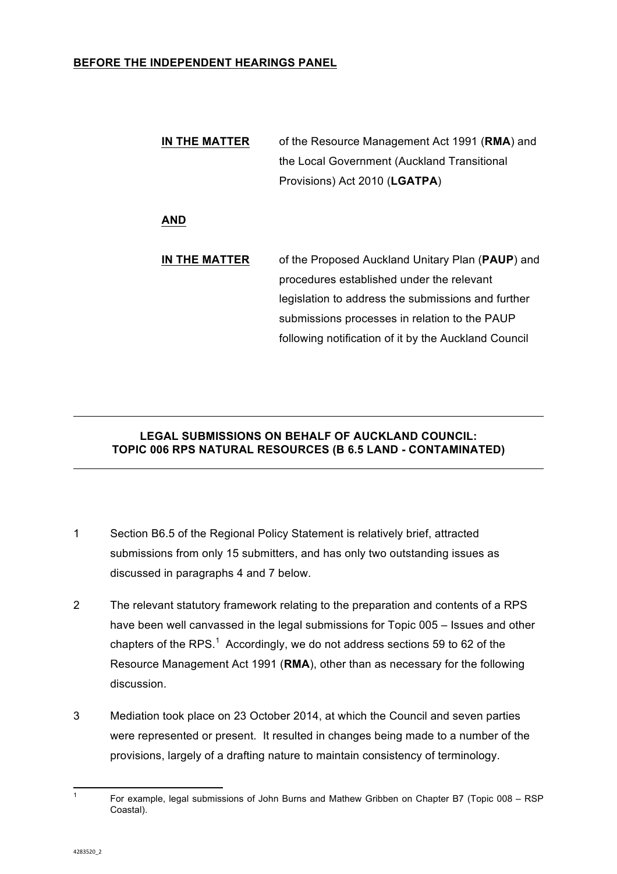## **BEFORE THE INDEPENDENT HEARINGS PANEL**

**IN THE MATTER** of the Resource Management Act 1991 (**RMA**) and the Local Government (Auckland Transitional Provisions) Act 2010 (**LGATPA**)

## **AND**

**IN THE MATTER** of the Proposed Auckland Unitary Plan (**PAUP**) and procedures established under the relevant legislation to address the submissions and further submissions processes in relation to the PAUP following notification of it by the Auckland Council

## **LEGAL SUBMISSIONS ON BEHALF OF AUCKLAND COUNCIL: TOPIC 006 RPS NATURAL RESOURCES (B 6.5 LAND - CONTAMINATED)**

- 1 Section B6.5 of the Regional Policy Statement is relatively brief, attracted submissions from only 15 submitters, and has only two outstanding issues as discussed in paragraphs 4 and 7 below.
- 2 The relevant statutory framework relating to the preparation and contents of a RPS have been well canvassed in the legal submissions for Topic 005 – Issues and other chapters of the RPS.<sup>1</sup> Accordingly, we do not address sections 59 to 62 of the Resource Management Act 1991 (**RMA**), other than as necessary for the following discussion.
- 3 Mediation took place on 23 October 2014, at which the Council and seven parties were represented or present. It resulted in changes being made to a number of the provisions, largely of a drafting nature to maintain consistency of terminology.

<sup>&</sup>lt;sup>1</sup> For example, legal submissions of John Burns and Mathew Gribben on Chapter B7 (Topic 008 – RSP Coastal).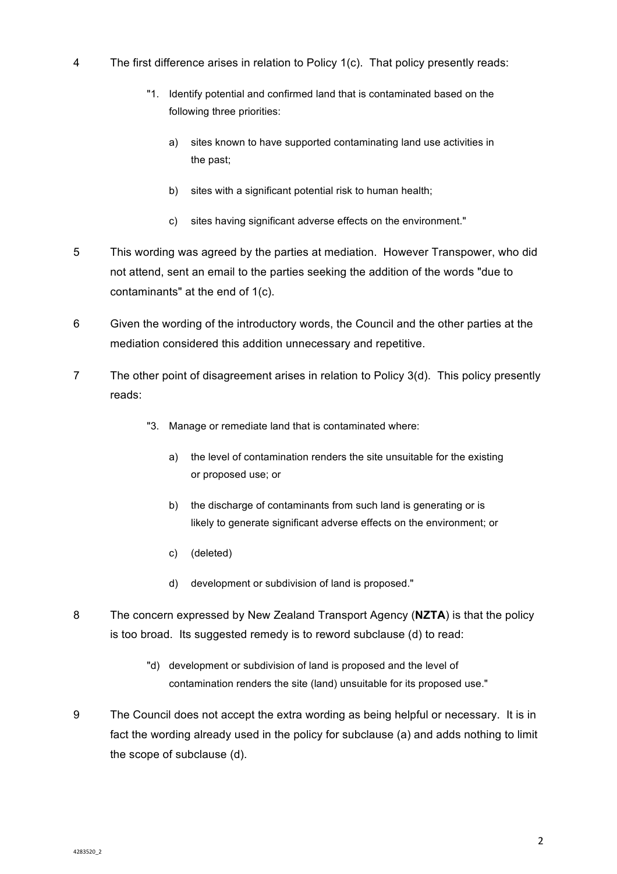- 4 The first difference arises in relation to Policy 1(c). That policy presently reads:
	- "1. Identify potential and confirmed land that is contaminated based on the following three priorities:
		- a) sites known to have supported contaminating land use activities in the past;
		- b) sites with a significant potential risk to human health;
		- c) sites having significant adverse effects on the environment."
- 5 This wording was agreed by the parties at mediation. However Transpower, who did not attend, sent an email to the parties seeking the addition of the words "due to contaminants" at the end of 1(c).
- 6 Given the wording of the introductory words, the Council and the other parties at the mediation considered this addition unnecessary and repetitive.
- 7 The other point of disagreement arises in relation to Policy 3(d). This policy presently reads:
	- "3. Manage or remediate land that is contaminated where:
		- a) the level of contamination renders the site unsuitable for the existing or proposed use; or
		- b) the discharge of contaminants from such land is generating or is likely to generate significant adverse effects on the environment; or
		- c) (deleted)
		- d) development or subdivision of land is proposed."
- 8 The concern expressed by New Zealand Transport Agency (**NZTA**) is that the policy is too broad. Its suggested remedy is to reword subclause (d) to read:
	- "d) development or subdivision of land is proposed and the level of contamination renders the site (land) unsuitable for its proposed use."
- 9 The Council does not accept the extra wording as being helpful or necessary. It is in fact the wording already used in the policy for subclause (a) and adds nothing to limit the scope of subclause (d).